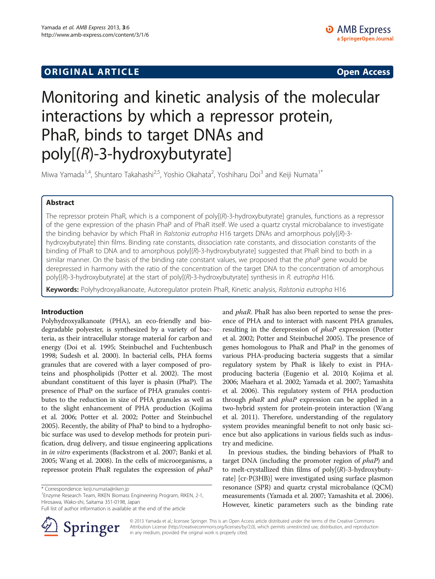# **ORIGINAL ARTICLE CONSUMING A LIGACION CONSUMING A LIGACION CONSUMING A LIGACION**

# Monitoring and kinetic analysis of the molecular interactions by which a repressor protein, PhaR, binds to target DNAs and poly[(R)-3-hydroxybutyrate]

Miwa Yamada<sup>1,4</sup>, Shuntaro Takahashi<sup>2,5</sup>, Yoshio Okahata<sup>2</sup>, Yoshiharu Doi<sup>3</sup> and Keiji Numata<sup>1\*</sup>

# Abstract

The repressor protein PhaR, which is a component of poly[(R)-3-hydroxybutyrate] granules, functions as a repressor of the gene expression of the phasin PhaP and of PhaR itself. We used a quartz crystal microbalance to investigate the binding behavior by which PhaR in Ralstonia eutropha H16 targets DNAs and amorphous poly[(R)-3hydroxybutyrate] thin films. Binding rate constants, dissociation rate constants, and dissociation constants of the binding of PhaR to DNA and to amorphous poly[(R)-3-hydroxybutyrate] suggested that PhaR bind to both in a similar manner. On the basis of the binding rate constant values, we proposed that the *phaP* gene would be derepressed in harmony with the ratio of the concentration of the target DNA to the concentration of amorphous poly[(R)-3-hydroxybutyrate] at the start of poly[(R)-3-hydroxybutyrate] synthesis in R. eutropha H16.

Keywords: Polyhydroxyalkanoate, Autoregulator protein PhaR, Kinetic analysis, Ralstonia eutropha H16

# Introduction

Polyhydroxyalkanoate (PHA), an eco-friendly and biodegradable polyester, is synthesized by a variety of bacteria, as their intracellular storage material for carbon and energy (Doi et al. [1995](#page-5-0); Steinbuchel and Fuchtenbusch [1998;](#page-5-0) Sudesh et al. [2000](#page-6-0)). In bacterial cells, PHA forms granules that are covered with a layer composed of proteins and phospholipids (Potter et al. [2002](#page-5-0)). The most abundant constituent of this layer is phasin (PhaP). The presence of PhaP on the surface of PHA granules contributes to the reduction in size of PHA granules as well as to the slight enhancement of PHA production (Kojima et al. [2006;](#page-5-0) Potter et al. [2002](#page-5-0); Potter and Steinbuchel [2005\)](#page-5-0). Recently, the ability of PhaP to bind to a hydrophobic surface was used to develop methods for protein purification, drug delivery, and tissue engineering applications in in vitro experiments (Backstrom et al. [2007;](#page-5-0) Banki et al. [2005;](#page-5-0) Wang et al. [2008\)](#page-6-0). In the cells of microorganisms, a repressor protein PhaR regulates the expression of phaP

<sup>1</sup> Enzyme Research Team, RIKEN Biomass Engineering Program, RIKEN, 2-1, Hirosawa, Wako-shi, Saitama 351-0198, Japan

Full list of author information is available at the end of the article



and *phaR*. PhaR has also been reported to sense the presence of PHA and to interact with nascent PHA granules, resulting in the derepression of *phaP* expression (Potter et al. [2002](#page-5-0); Potter and Steinbuchel [2005\)](#page-5-0). The presence of genes homologous to PhaR and PhaP in the genomes of various PHA-producing bacteria suggests that a similar regulatory system by PhaR is likely to exist in PHAproducing bacteria (Eugenio et al. [2010](#page-5-0); Kojima et al. [2006](#page-5-0); Maehara et al. [2002;](#page-5-0) Yamada et al. [2007](#page-6-0); Yamashita et al. [2006](#page-6-0)). This regulatory system of PHA production through *phaR* and *phaP* expression can be applied in a two-hybrid system for protein-protein interaction (Wang et al. [2011\)](#page-6-0). Therefore, understanding of the regulatory system provides meaningful benefit to not only basic science but also applications in various fields such as industry and medicine.

In previous studies, the binding behaviors of PhaR to target DNA (including the promoter region of *phaP*) and to melt-crystallized thin films of  $poly[(R)-3-hydroxybuty$ rate] [cr-P(3HB)] were investigated using surface plasmon resonance (SPR) and quartz crystal microbalance (QCM) measurements (Yamada et al. [2007](#page-6-0); Yamashita et al. [2006](#page-6-0)). However, kinetic parameters such as the binding rate

© 2013 Yamada et al.; licensee Springer. This is an Open Access article distributed under the terms of the Creative Commons Attribution License [\(http://creativecommons.org/licenses/by/2.0\)](http://creativecommons.org/licenses/by/2.0), which permits unrestricted use, distribution, and reproduction in any medium, provided the original work is properly cited.

<sup>\*</sup> Correspondence: [keiji.numata@riken.jp](mailto:keiji.numata@riken.jp) <sup>1</sup>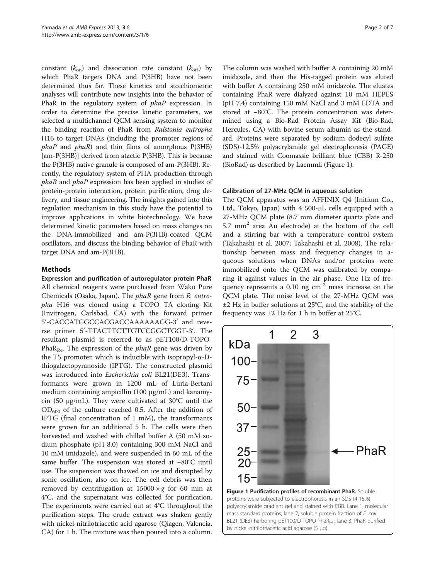<span id="page-1-0"></span>constant  $(k_{on})$  and dissociation rate constant  $(k_{off})$  by which PhaR targets DNA and P(3HB) have not been determined thus far. These kinetics and stoichiometric analyses will contribute new insights into the behavior of PhaR in the regulatory system of *phaP* expression. In order to determine the precise kinetic parameters, we selected a multichannel QCM sensing system to monitor the binding reaction of PhaR from Ralstonia eutropha H16 to target DNAs (including the promoter regions of phaP and phaR) and thin films of amorphous P(3HB) [am-P(3HB)] derived from atactic P(3HB). This is because the P(3HB) native granule is composed of am-P(3HB). Recently, the regulatory system of PHA production through phaR and phaP expression has been applied in studies of protein-protein interaction, protein purification, drug delivery, and tissue engineering. The insights gained into this regulation mechanism in this study have the potential to improve applications in white biotechnology. We have determined kinetic parameters based on mass changes on the DNA-immobilized and am-P(3HB)-coated QCM oscillators, and discuss the binding behavior of PhaR with target DNA and am-P(3HB).

# Methods

Expression and purification of autoregulator protein PhaR All chemical reagents were purchased from Wako Pure Chemicals (Osaka, Japan). The phaR gene from R. eutropha H16 was cloned using a TOPO TA cloning Kit (Invitrogen, Carlsbad, CA) with the forward primer 5'-CACCATGGCCACGACCAAAAAAGG-3' and reverse primer 5'-TTACTTCTTGTCCGGCTGGT-3'. The resultant plasmid is referred to as pET100/D-TOPO-PhaR<sub>Re</sub>. The expression of the *phaR* gene was driven by the T5 promoter, which is inducible with isopropyl-α-Dthiogalactopyranoside (IPTG). The constructed plasmid was introduced into Escherichia coli BL21(DE3). Transformants were grown in 1200 mL of Luria-Bertani medium containing ampicillin (100 μg/mL) and kanamycin (50 μg/mL). They were cultivated at 30°C until the  $OD_{600}$  of the culture reached 0.5. After the addition of IPTG (final concentration of 1 mM), the transformants were grown for an additional 5 h. The cells were then harvested and washed with chilled buffer A (50 mM sodium phosphate (pH 8.0) containing 300 mM NaCl and 10 mM imidazole), and were suspended in 60 mL of the same buffer. The suspension was stored at −80°C until use. The suspension was thawed on ice and disrupted by sonic oscillation, also on ice. The cell debris was then removed by centrifugation at  $15000 \times g$  for 60 min at 4°C, and the supernatant was collected for purification. The experiments were carried out at 4°C throughout the purification steps. The crude extract was shaken gently with nickel-nitrilotriacetic acid agarose (Qiagen, Valencia, CA) for 1 h. The mixture was then poured into a column. The column was washed with buffer A containing 20 mM imidazole, and then the His-tagged protein was eluted with buffer A containing 250 mM imidazole. The eluates containing PhaR were dialyzed against 10 mM HEPES (pH 7.4) containing 150 mM NaCl and 3 mM EDTA and stored at −80°C. The protein concentration was determined using a Bio-Rad Protein Assay Kit (Bio-Rad, Hercules, CA) with bovine serum albumin as the standard. Proteins were separated by sodium dodecyl sulfate (SDS)-12.5% polyacrylamide gel electrophoresis (PAGE) and stained with Coomassie brilliant blue (CBB) R-250 (BioRad) as described by Laemmli (Figure 1).

## Calibration of 27-MHz QCM in aqueous solution

The QCM apparatus was an AFFINIX Q4 (Initium Co., Ltd., Tokyo, Japan) with 4 500-μL cells equipped with a 27-MHz QCM plate (8.7 mm diameter quartz plate and  $5.7$  mm<sup>2</sup> area Au electrode) at the bottom of the cell and a stirring bar with a temperature control system (Takahashi et al. [2007](#page-6-0); Takahashi et al. [2008\)](#page-6-0). The relationship between mass and frequency changes in aqueous solutions when DNAs and/or proteins were immobilized onto the QCM was calibrated by comparing it against values in the air phase. One Hz of frequency represents a  $0.10$  ng cm<sup>-2</sup> mass increase on the QCM plate. The noise level of the 27-MHz QCM was ±2 Hz in buffer solutions at 25°C, and the stability of the frequency was ±2 Hz for 1 h in buffer at 25°C.



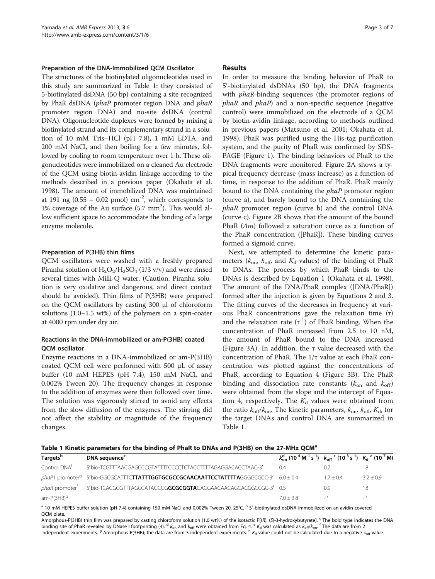## <span id="page-2-0"></span>Preparation of the DNA-Immobilized QCM Oscillator

The structures of the biotinylated oligonucleotides used in this study are summarized in Table 1: they consisted of 5-biotinylated dsDNA (50 bp) containing a site recognized by PhaR dsDNA (phaP promoter region DNA and phaR promoter region DNA) and no-site dsDNA (control DNA). Oligonucleotide duplexes were formed by mixing a biotinylated strand and its complementary strand in a solution of 10 mM Tris–HCl (pH 7.8), 1 mM EDTA, and 200 mM NaCl, and then boiling for a few minutes, followed by cooling to room temperature over 1 h. These oligonucleotides were immobilized on a cleaned Au electrode of the QCM using biotin-avidin linkage according to the methods described in a previous paper (Okahata et al. [1998\)](#page-5-0). The amount of immobilized DNA was maintained at 191 ng  $(0.55 - 0.02 \text{ pmol}) \text{ cm}^{-2}$ , which corresponds to 1% coverage of the Au surface  $(5.7 \text{ mm}^2)$ . This would allow sufficient space to accommodate the binding of a large enzyme molecule.

## Preparation of P(3HB) thin films

QCM oscillators were washed with a freshly prepared Piranha solution of  $H_2O_2/H_2SO_4$  (1/3 v/v) and were rinsed several times with Milli-Q water. (Caution: Piranha solution is very oxidative and dangerous, and direct contact should be avoided). Thin films of P(3HB) were prepared on the QCM oscillators by casting 300 μl of chloroform solutions (1.0–1.5 wt%) of the polymers on a spin-coater at 4000 rpm under dry air.

# Reactions in the DNA-immobilized or am-P(3HB) coated QCM oscillator

Enzyme reactions in a DNA-immobilized or am-P(3HB) coated QCM cell were performed with 500 μL of assay buffer (10 mM HEPES (pH 7.4), 150 mM NaCl, and 0.002% Tween 20). The frequency changes in response to the addition of enzymes were then followed over time. The solution was vigorously stirred to avoid any effects from the slow diffusion of the enzymes. The stirring did not affect the stability or magnitude of the frequency changes.

## Results

In order to measure the binding behavior of PhaR to 5'-biotinylated dsDNAs (50 bp), the DNA fragments with *phaR*-binding sequences (the promoter regions of  $phaR$  and  $phaP$ ) and a non-specific sequence (negative control) were immobilized on the electrode of a QCM by biotin-avidin linkage, according to methods outlined in previous papers (Matsuno et al. [2001;](#page-5-0) Okahata et al. [1998](#page-5-0)). PhaR was purified using the His-tag purification system, and the purity of PhaR was confirmed by SDS-PAGE (Figure [1\)](#page-1-0). The binding behaviors of PhaR to the DNA fragments were monitored. Figure [2](#page-3-0)A shows a typical frequency decrease (mass increase) as a function of time, in response to the addition of PhaR. PhaR mainly bound to the DNA containing the phaP promoter region (curve a), and barely bound to the DNA containing the phaR promoter region (curve b) and the control DNA (curve c). Figure [2B](#page-3-0) shows that the amount of the bound PhaR  $(\Delta m)$  followed a saturation curve as a function of the PhaR concentration ([PhaR]). These binding curves formed a sigmoid curve.

Next, we attempted to determine the kinetic parameters ( $k_{\text{on}}$ ,  $k_{\text{off}}$ , and  $K_d$  values) of the binding of PhaR to DNAs. The process by which PhaR binds to the DNAs is described by Equation 1 (Okahata et al. [1998](#page-5-0)). The amount of the DNA/PhaR complex ([DNA/PhaR]) formed after the injection is given by Equations 2 and 3. The fitting curves of the decreases in frequency at various PhaR concentrations gave the relaxation time (τ) and the relaxation rate  $(\tau^{-1})$  of PhaR binding. When the concentration of PhaR increased from 2.5 to 10 nM, the amount of PhaR bound to the DNA increased (Figure [3](#page-3-0)A). In addition, the τ value decreased with the concentration of PhaR. The 1/τ value at each PhaR concentration was plotted against the concentrations of PhaR, according to Equation 4 (Figure [3B](#page-3-0)). The PhaR binding and dissociation rate constants ( $k_{on}$  and  $k_{off}$ ) were obtained from the slope and the intercept of Equation 4, respectively. The  $K_d$  values were obtained from the ratio  $k_{off}/k_{on}$ . The kinetic parameters,  $k_{on}$ ,  $k_{off}$ ,  $K_d$ , for the target DNAs and control DNA are summarized in Table 1.

Table 1 Kinetic parameters for the binding of PhaR to DNAs and P(3HB) on the 27-MHz QCM<sup>a</sup>

| Targets <sup>b</sup>     | DNA sequence <sup>c</sup>                                                                                               | $k_{on}^{d}$ (10 <sup>-4</sup> M <sup>-1</sup> s <sup>-1</sup> ) $k_{off}$ <sup>c</sup> (10 <sup>-3</sup> s <sup>-1</sup> ) $K_{d}$ <sup>e</sup> (10 <sup>-7</sup> M) |           |           |
|--------------------------|-------------------------------------------------------------------------------------------------------------------------|-----------------------------------------------------------------------------------------------------------------------------------------------------------------------|-----------|-----------|
| Control DNA <sup>f</sup> | 5'bio-TCGTTTAACGAGCCCGTATTTTCCCCTCTACCTTTTAGAGGACACCTAAC-3'                                                             | 04                                                                                                                                                                    |           |           |
|                          | phaP1 promoter <sup>9</sup> 5 <sup>/</sup> bio-GGCGCATTTC <b>TTATTTGGTGCGCCGCAACAATTCCTATTTTA</b> GGGGCGCC-3' 6.0 ± 0.4 |                                                                                                                                                                       | $17 + 04$ | $32 + 09$ |
|                          | phaR promoter <sup>f</sup> 5'bio-TCACGCGTTTAGCCATAGCGG <b>GCGCGTA</b> GACGAACAACAGCACGGCCGG-3' 0.5                      |                                                                                                                                                                       | 09        |           |
| $am-P(3HB)^9$            |                                                                                                                         | $70 + 38$                                                                                                                                                             | h.        |           |

 $^{\rm a}$  10 mM HEPES buffer solution (pH 7.4) containing 150 mM NaCl and 0.002% Tween 20, 25°C.  $^{\rm b}$  5′-biotinylated dsDNA immobilized on an avidin-covered QCM plate.

Amorphous-P(3HB) thin film was prepared by casting chloroform solution (1.0 wt%) of the isotactic P[(R), (S)-3-hydroxybutyrate]. <sup>c</sup> The bold type indicates the DNA binding site of PhaR revealed by DNase I footprinting (4). <sup>d</sup>  $k_{\rm on}$  and  $k_{\rm off}$  were obtained from Eq. 4. <sup>e</sup> K<sub>d</sub> was calculated as  $k_{\rm off}/k_{\rm on}$ . <sup>f</sup> The data are from 2 independent experiments.<sup>9</sup> Amorphous P(3HB); the data are from 3 independent experiments.<sup>h</sup> K<sub>d</sub> value could not be calculated due to a negative k<sub>off</sub> value.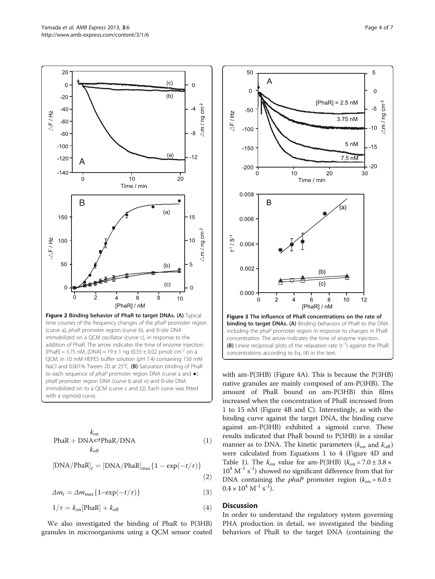<span id="page-3-0"></span>

$$
PhaR + DNA \rightleftharpoons PhaR/DNA
$$
 (1)  
\n
$$
k_{off}
$$

$$
[DNA/PhaR]_t = [DNA/PhaR]_{max} \{ 1 - \exp(-t/\tau) \}
$$
\n(2)

$$
\Delta m_t = \Delta m_{\text{max}} \{ 1 - \exp(-t/\tau) \}
$$
\n(3)

$$
1/\tau = k_{\text{on}}[\text{PhaR}] + k_{\text{off}} \tag{4}
$$

We also investigated the binding of PhaR to P(3HB) granules in microorganisms using a QCM sensor coated



with am-P(3HB) (Figure [4](#page-4-0)A). This is because the P(3HB) native granules are mainly composed of am-P(3HB). The amount of PhaR bound on am-P(3HB) thin films increased when the concentration of PhaR increased from 1 to 15 nM (Figure [4B](#page-4-0) and C). Interestingly, as with the binding curve against the target DNA, the binding curve against am-P(3HB) exhibited a sigmoid curve. These results indicated that PhaR bound to P(3HB) in a similar manner as to DNA. The kinetic parameters ( $k_{on}$  and  $k_{off}$ ) were calculated from Equations 1 to 4 (Figure [4D](#page-4-0) and Table [1](#page-2-0)). The  $k_{on}$  value for am-P(3HB)  $(k_{on} = 7.0 \pm 3.8 \times$  $10^4$  M<sup>-1</sup> s<sup>-1</sup>) showed no significant difference from that for DNA containing the *phaP* promoter region ( $k_{on} = 6.0 \pm$  $0.4 \times 10^4$  M<sup>-1</sup> s<sup>-1</sup>).

# **Discussion**

In order to understand the regulatory system governing PHA production in detail, we investigated the binding behaviors of PhaR to the target DNA (containing the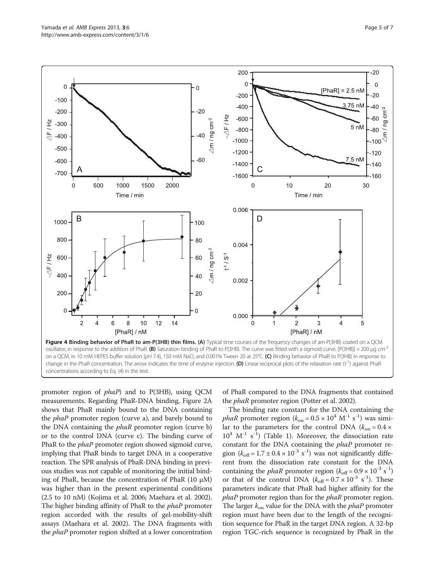<span id="page-4-0"></span>

promoter region of phaP) and to P(3HB), using QCM measurements. Regarding PhaR-DNA binding, Figure [2A](#page-3-0) shows that PhaR mainly bound to the DNA containing the *phaP* promoter region (curve a), and barely bound to the DNA containing the *phaR* promoter region (curve b) or to the control DNA (curve c). The binding curve of PhaR to the *phaP* promoter region showed sigmoid curve, implying that PhaR binds to target DNA in a cooperative reaction. The SPR analysis of PhaR-DNA binding in previous studies was not capable of monitoring the initial binding of PhaR, because the concentration of PhaR  $(10 \mu M)$ was higher than in the present experimental conditions (2.5 to 10 nM) (Kojima et al. [2006;](#page-5-0) Maehara et al. [2002](#page-5-0)). The higher binding affinity of PhaR to the *phaP* promoter region accorded with the results of gel-mobility-shift assays (Maehara et al. [2002\)](#page-5-0). The DNA fragments with the *phaP* promoter region shifted at a lower concentration of PhaR compared to the DNA fragments that contained the *phaR* promoter region (Potter et al. [2002](#page-5-0)).

The binding rate constant for the DNA containing the phaR promoter region  $(k_{on} = 0.5 \times 10^4 \text{ M}^{-1} \text{ s}^{-1})$  was simi-<br>lar to the parameters for the control DNA  $(k_{on} = 0.4 \times$ lar to the parameters for the control DNA ( $k_{on} = 0.4 \times$  $10^4$  M<sup>-1</sup> s<sup>-1</sup>) (Table [1](#page-2-0)). Moreover, the dissociation rate constant for the DNA containing the phaP promoter region  $(k_{off} = 1.7 \pm 0.4 \times 10^{-3} \text{ s}^{-1})$  was not significantly diffe-<br>rent from the dissociation rate constant for the DNA rent from the dissociation rate constant for the DNA containing the *phaR* promoter region  $(k_{off} = 0.9 \times 10^{-3} \text{ s}^{-1})$ <br>or that of the control DNA  $(k_{off} = 0.7 \times 10^{-3} \text{ s}^{-1})$ . These or that of the control DNA  $(k_{off} = 0.7 \times 10^{-3} \text{ s}^{-1})$ . These<br>parameters indicate that PhaR had bigher affinity for the parameters indicate that PhaR had higher affinity for the phaP promoter region than for the *phaR* promoter region. The larger  $k_{on}$  value for the DNA with the *phaP* promoter region must have been due to the length of the recognition sequence for PhaR in the target DNA region. A 32-bp region TGC-rich sequence is recognized by PhaR in the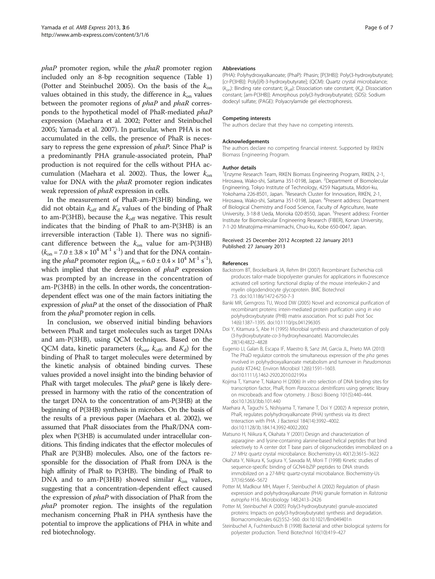<span id="page-5-0"></span>phaP promoter region, while the *phaR* promoter region included only an 8-bp recognition sequence (Table [1](#page-2-0)) (Potter and Steinbuchel 2005). On the basis of the  $k_{on}$ values obtained in this study, the difference in  $k_{on}$  values between the promoter regions of *phaP* and *phaR* corresponds to the hypothetical model of PhaR-mediated phaP expression (Maehara et al. 2002; Potter and Steinbuchel 2005; Yamada et al. [2007](#page-6-0)). In particular, when PHA is not accumulated in the cells, the presence of PhaR is necessary to repress the gene expression of *phaP*. Since PhaP is a predominantly PHA granule-associated protein, PhaP production is not required for the cells without PHA accumulation (Maehara et al. 2002). Thus, the lower  $k_{on}$ value for DNA with the *phaR* promoter region indicates weak repression of phaR expression in cells.

In the measurement of PhaR-am-P(3HB) binding, we did not obtain  $k_{\text{off}}$  and  $K_d$  values of the binding of PhaR to am-P(3HB), because the  $k_{\text{off}}$  was negative. This result indicates that the binding of PhaR to am-P(3HB) is an irreversible interaction (Table [1\)](#page-2-0). There was no significant difference between the  $k_{on}$  value for am-P(3HB)  $(k_{\text{on}} = 7.0 \pm 3.8 \times 10^4 \text{ M}^{-1} \text{ s}^{-1})$  and that for the DNA contain-<br>ing the *phaP* promoter region  $(k_{\text{on}} = 6.0 \pm 0.4 \times 10^4 \text{ M}^{-1} \text{ s}^{-1})$ ing the *phaP* promoter region  $(k_{on} = 6.0 \pm 0.4 \times 10^4 \text{ M}^{-1} \text{ s}^{-1})$ , which implied that the derepression of *phaP* expression was prompted by an increase in the concentration of am-P(3HB) in the cells. In other words, the concentrationdependent effect was one of the main factors initiating the expression of phaP at the onset of the dissociation of PhaR from the *phaP* promoter region in cells.

In conclusion, we observed initial binding behaviors between PhaR and target molecules such as target DNAs and am-P(3HB), using QCM techniques. Based on the QCM data, kinetic parameters  $(k_{\text{on}}, k_{\text{off}})$  and  $K_d$ ) for the binding of PhaR to target molecules were determined by the kinetic analysis of obtained binding curves. These values provided a novel insight into the binding behavior of PhaR with target molecules. The *phaP* gene is likely derepressed in harmony with the ratio of the concentration of the target DNA to the concentration of am-P(3HB) at the beginning of P(3HB) synthesis in microbes. On the basis of the results of a previous paper (Maehara et al. 2002), we assumed that PhaR dissociates from the PhaR/DNA complex when P(3HB) is accumulated under intracellular conditions. This finding indicates that the effector molecules of PhaR are P(3HB) molecules. Also, one of the factors responsible for the dissociation of PhaR from DNA is the high affinity of PhaR to P(3HB). The binding of PhaR to DNA and to am-P(3HB) showed similar  $k_{on}$  values, suggesting that a concentration-dependent effect caused the expression of phaP with dissociation of PhaR from the phaP promoter region. The insights of the regulation mechanism concerning PhaR in PHA synthesis have the potential to improve the applications of PHA in white and red biotechnology.

### Abbreviations

(PHA): Polyhydroxyalkanoate; (PhaP): Phasin; [P(3HB)]: Poly(3-hydroxybutyrate); [cr-P(3HB)]: Poly[(R)-3-hydroxybutyrate]; (QCM): Quartz crystal microbalance; ( $k_{\text{on}}$ ): Binding rate constant; ( $k_{\text{off}}$ ): Dissociation rate constant; ( $K_d$ ): Dissociation constant; [am-P(3HB)]: Amorphous poly(3-hydroxybutyrate); (SDS): Sodium dodecyl sulfate; (PAGE): Polyacrylamide gel electrophoresis.

### Competing interests

The authors declare that they have no competing interests.

#### Acknowledgements

The authors declare no competing financial interest. Supported by RIKEN Biomass Engineering Program.

## Author details

<sup>1</sup> Enzyme Research Team, RIKEN Biomass Engineering Program, RIKEN, 2-1 Hirosawa, Wako-shi, Saitama 351-0198, Japan. <sup>2</sup>Department of Biomolecular Engineering, Tokyo Institute of Technology, 4259 Nagatsuta, Midori-ku, Yokohama 226-8501, Japan. <sup>3</sup>Research Cluster for Innovation, RIKEN, 2-1 Hirosawa, Wako-shi, Saitama 351-0198, Japan. <sup>4</sup>Present address: Department of Biological Chemistry and Food Science, Faculty of Agriculture, Iwate University, 3-18-8 Ueda, Morioka 020-8550, Japan. <sup>5</sup>Present address: Frontier Institute for Biomolecular Engineering Research (FIBER), Konan University, 7-1-20 Minatojima-minamimachi, Chuo-ku, Kobe 650-0047, Japan.

## Received: 25 December 2012 Accepted: 22 January 2013 Published: 27 January 2013

#### References

- Backstrom BT, Brockelbank JA, Rehm BH (2007) Recombinant Escherichia coli produces tailor-made biopolyester granules for applications in fluorescence activated cell sorting: functional display of the mouse interleukin-2 and myelin oligodendrocyte glycoprotein. BMC Biotechnol 7:3. doi[:10.1186/1472-6750-7-3](http://dx.doi.org/10.1186/1472-6750-7-3)
- Banki MR, Gerngross TU, Wood DW (2005) Novel and economical purification of recombinant proteins: intein-mediated protein purification using in vivo polyhydroxybutyrate (PHB) matrix association. Prot sci publ Prot Soc 14(6):1387–1395. doi[:10.1110/ps.041296305](http://dx.doi.org/10.1110/ps.041296305)
- Doi Y, Kitamura S, Abe H (1995) Microbial synthesis and characterization of poly (3-hydroxybutyrate-co-3-hydroxyhexanoate). Macromolecules 28(14):4822–4828
- Eugenio LI, Galan B, Escapa IF, Maestro B, Sanz JM, Garcia JL, Prieto MA (2010) The PhaD regulator controls the simultaneous expression of the pha genes involved in polyhydroxyalkanoate metabolism and turnover in Pseudomonas putida KT2442. Environ Microbiol 12(6):1591–1603. doi[:10.1111/j.1462-2920.2010.02199.x](http://dx.doi.org/10.1111/j.1462-2920.2010.02199.x)
- Kojima T, Yamane T, Nakano H (2006) In vitro selection of DNA binding sites for transcription factor, PhaR, from Paracoccus denitrificans using genetic library on microbeads and flow cytometry. J Biosci Bioeng 101(5):440–444. doi[:10.1263/Jbb.101.440](http://dx.doi.org/10.1263/Jbb.101.440)
- Maehara A, Taguchi S, Nishiyama T, Yamane T, Doi Y (2002) A repressor protein, PhaR, regulates polyhydroxyalkanoate (PHA) synthesis via its direct tnteraction with PHA. J Bacteriol 184(14):3992–4002. doi[:10.1128/Jb.184.14.3992-4002.2002](http://dx.doi.org/10.1128/Jb.184.14.3992-4002.2002)
- Matsuno H, Niikura K, Okahata Y (2001) Design and characterization of asparagine- and lysine-containing alanine-based helical peptides that bind selectively to A center dot T base pairs of oligonucleotides immobilized on a 27 MHz quartz crystal microbalance. Biochemistry-Us 40(12):3615–3622
- Okahata Y, Niikura K, Sugiura Y, Sawada M, Morii T (1998) Kinetic studies of sequence-specific binding of GCN4-bZIP peptides to DNA strands immobilized on a 27-MHz quartz-crystal microbalance. Biochemistry-Us 37(16):5666–5672
- Potter M, Madkour MH, Mayer F, Steinbuchel A (2002) Regulation of phasin expression and polyhydroxyalkanoate (PHA) granule formation in Ralstonia eutropha H16. Microbiology 148:2413–2426
- Potter M, Steinbuchel A (2005) Poly(3-hydroxybutyrate) granule-associated proteins: Impacts on poly(3-hydroxybutyrate) synthesis and degradation. Biomacromolecules 6(2):552–560. doi:[10.1021/Bm049401n](http://dx.doi.org/10.1021/Bm049401n)
- Steinbuchel A, Fuchtenbusch B (1998) Bacterial and other biological systems for polyester production. Trend Biotechnol 16(10):419–427